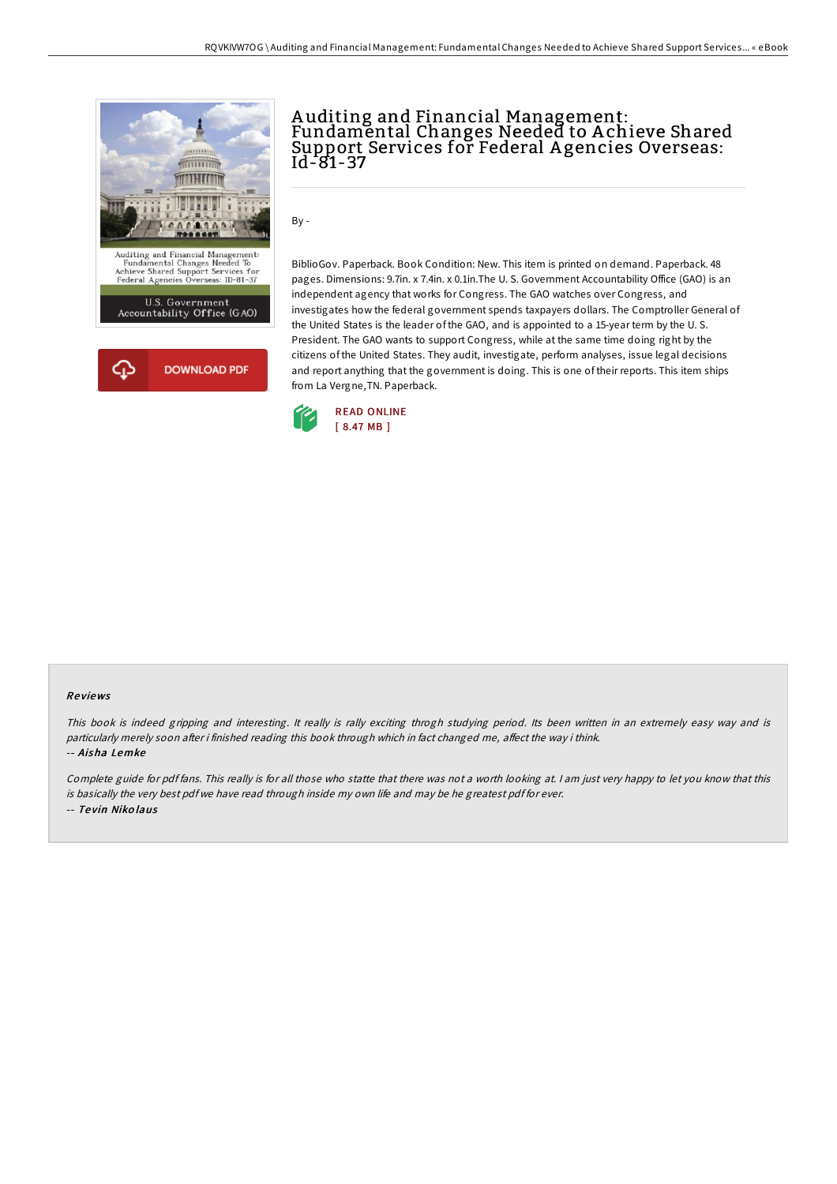

## A uditing and Financial Management: Fundamental Changes Needed to A chieve Shared Support Services for Federal A gencies Overseas: Id-81-37

By -

BiblioGov. Paperback. Book Condition: New. This item is printed on demand. Paperback. 48 pages. Dimensions: 9.7in. x 7.4in. x 0.1in.The U. S. Government Accountability Office (GAO) is an independent agency that works for Congress. The GAO watches over Congress, and investigates how the federal government spends taxpayers dollars. The Comptroller General of the United States is the leader of the GAO, and is appointed to a 15-year term by the U. S. President. The GAO wants to support Congress, while at the same time doing right by the citizens of the United States. They audit, investigate, perform analyses, issue legal decisions and report anything that the government is doing. This is one of their reports. This item ships from La Vergne,TN. Paperback.



#### Re views

This book is indeed gripping and interesting. It really is rally exciting throgh studying period. Its been written in an extremely easy way and is particularly merely soon after i finished reading this book through which in fact changed me, affect the way i think. -- Aisha Lemke

Complete guide for pdf fans. This really is for all those who statte that there was not <sup>a</sup> worth looking at. <sup>I</sup> am just very happy to let you know that this is basically the very best pdf we have read through inside my own life and may be he greatest pdf for ever. -- Te vin Niko laus